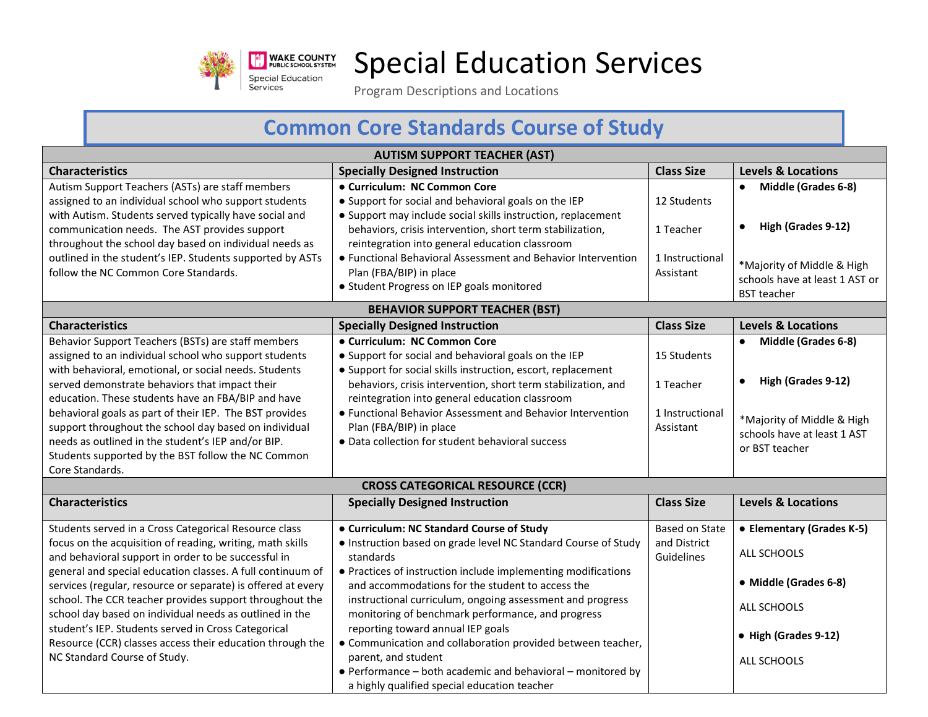

## Special Education Services

Program Descriptions and Locations

## **Common Core Standards Course of Study**

| <b>AUTISM SUPPORT TEACHER (AST)</b>                                                                                                                                                                                                             |                                                                                                                                                      |                                       |                                                                                    |  |
|-------------------------------------------------------------------------------------------------------------------------------------------------------------------------------------------------------------------------------------------------|------------------------------------------------------------------------------------------------------------------------------------------------------|---------------------------------------|------------------------------------------------------------------------------------|--|
| <b>Characteristics</b>                                                                                                                                                                                                                          | <b>Specially Designed Instruction</b>                                                                                                                | <b>Class Size</b>                     | <b>Levels &amp; Locations</b>                                                      |  |
| Autism Support Teachers (ASTs) are staff members<br>assigned to an individual school who support students<br>with Autism. Students served typically have social and                                                                             | • Curriculum: NC Common Core<br>• Support for social and behavioral goals on the IEP<br>• Support may include social skills instruction, replacement | 12 Students                           | • Middle (Grades 6-8)                                                              |  |
| communication needs. The AST provides support<br>throughout the school day based on individual needs as                                                                                                                                         | behaviors, crisis intervention, short term stabilization,<br>reintegration into general education classroom                                          | 1 Teacher                             | High (Grades 9-12)<br>$\bullet$                                                    |  |
| outlined in the student's IEP. Students supported by ASTs<br>follow the NC Common Core Standards.                                                                                                                                               | • Functional Behavioral Assessment and Behavior Intervention<br>Plan (FBA/BIP) in place<br>• Student Progress on IEP goals monitored                 | 1 Instructional<br>Assistant          | *Majority of Middle & High<br>schools have at least 1 AST or<br><b>BST</b> teacher |  |
|                                                                                                                                                                                                                                                 | <b>BEHAVIOR SUPPORT TEACHER (BST)</b>                                                                                                                |                                       |                                                                                    |  |
| <b>Characteristics</b>                                                                                                                                                                                                                          | <b>Specially Designed Instruction</b>                                                                                                                | <b>Class Size</b>                     | <b>Levels &amp; Locations</b>                                                      |  |
| Behavior Support Teachers (BSTs) are staff members<br>assigned to an individual school who support students<br>with behavioral, emotional, or social needs. Students                                                                            | • Curriculum: NC Common Core<br>• Support for social and behavioral goals on the IEP<br>• Support for social skills instruction, escort, replacement | 15 Students                           | • Middle (Grades 6-8)                                                              |  |
| served demonstrate behaviors that impact their<br>education. These students have an FBA/BIP and have                                                                                                                                            | behaviors, crisis intervention, short term stabilization, and<br>reintegration into general education classroom                                      | 1 Teacher                             | High (Grades 9-12)<br>$\bullet$                                                    |  |
| behavioral goals as part of their IEP. The BST provides<br>support throughout the school day based on individual<br>needs as outlined in the student's IEP and/or BIP.<br>Students supported by the BST follow the NC Common<br>Core Standards. | • Functional Behavior Assessment and Behavior Intervention<br>Plan (FBA/BIP) in place<br>• Data collection for student behavioral success            | 1 Instructional<br>Assistant          | *Majority of Middle & High<br>schools have at least 1 AST<br>or BST teacher        |  |
| <b>CROSS CATEGORICAL RESOURCE (CCR)</b>                                                                                                                                                                                                         |                                                                                                                                                      |                                       |                                                                                    |  |
| <b>Characteristics</b>                                                                                                                                                                                                                          | <b>Specially Designed Instruction</b>                                                                                                                | <b>Class Size</b>                     | <b>Levels &amp; Locations</b>                                                      |  |
| Students served in a Cross Categorical Resource class<br>focus on the acquisition of reading, writing, math skills                                                                                                                              | • Curriculum: NC Standard Course of Study<br>. Instruction based on grade level NC Standard Course of Study                                          | <b>Based on State</b><br>and District | • Elementary (Grades K-5)                                                          |  |
| and behavioral support in order to be successful in<br>general and special education classes. A full continuum of                                                                                                                               | standards<br>• Practices of instruction include implementing modifications                                                                           | Guidelines                            | ALL SCHOOLS                                                                        |  |
| services (regular, resource or separate) is offered at every                                                                                                                                                                                    | and accommodations for the student to access the                                                                                                     |                                       | • Middle (Grades 6-8)                                                              |  |
| school. The CCR teacher provides support throughout the<br>school day based on individual needs as outlined in the                                                                                                                              | instructional curriculum, ongoing assessment and progress<br>monitoring of benchmark performance, and progress                                       |                                       | ALL SCHOOLS                                                                        |  |
| student's IEP. Students served in Cross Categorical<br>Resource (CCR) classes access their education through the                                                                                                                                | reporting toward annual IEP goals<br>• Communication and collaboration provided between teacher,                                                     |                                       | • High (Grades 9-12)                                                               |  |
| NC Standard Course of Study.                                                                                                                                                                                                                    | parent, and student<br>• Performance - both academic and behavioral - monitored by<br>a highly qualified special education teacher                   |                                       | ALL SCHOOLS                                                                        |  |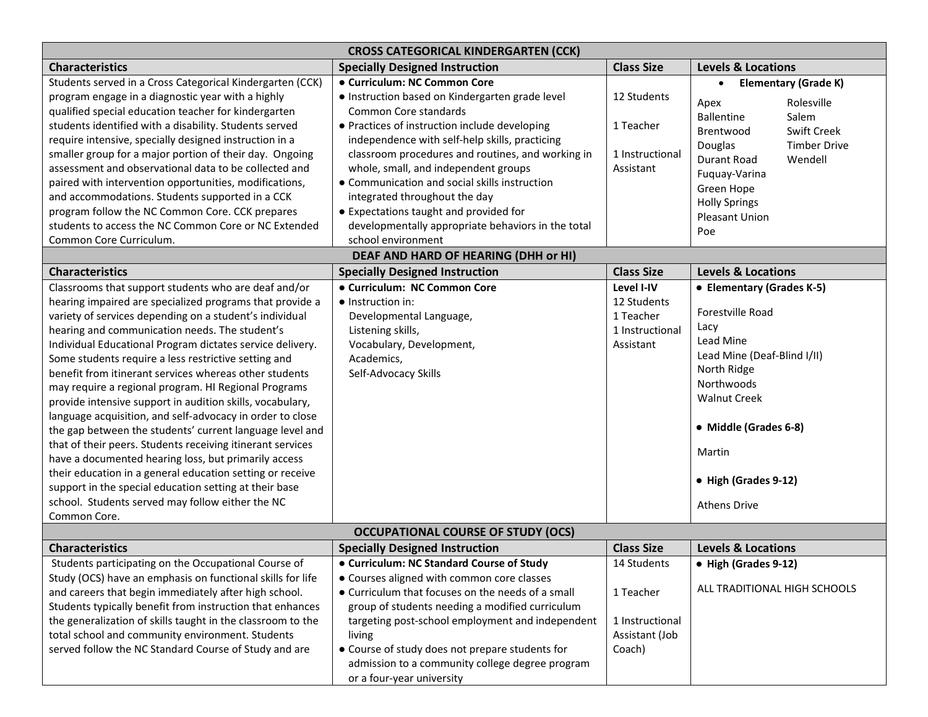| <b>CROSS CATEGORICAL KINDERGARTEN (CCK)</b>                                                                                                                                                                                                                                                                                                                                                                                                                                                                                                                                                                                                                                                                                                                                                                                                                                                                                                                                 |                                                                                                                                                                                                                                                                                                                                                                     |                                                                         |                                                                                                                                                                                                                                                |  |
|-----------------------------------------------------------------------------------------------------------------------------------------------------------------------------------------------------------------------------------------------------------------------------------------------------------------------------------------------------------------------------------------------------------------------------------------------------------------------------------------------------------------------------------------------------------------------------------------------------------------------------------------------------------------------------------------------------------------------------------------------------------------------------------------------------------------------------------------------------------------------------------------------------------------------------------------------------------------------------|---------------------------------------------------------------------------------------------------------------------------------------------------------------------------------------------------------------------------------------------------------------------------------------------------------------------------------------------------------------------|-------------------------------------------------------------------------|------------------------------------------------------------------------------------------------------------------------------------------------------------------------------------------------------------------------------------------------|--|
| <b>Characteristics</b>                                                                                                                                                                                                                                                                                                                                                                                                                                                                                                                                                                                                                                                                                                                                                                                                                                                                                                                                                      | <b>Specially Designed Instruction</b>                                                                                                                                                                                                                                                                                                                               | <b>Class Size</b>                                                       | <b>Levels &amp; Locations</b>                                                                                                                                                                                                                  |  |
| Students served in a Cross Categorical Kindergarten (CCK)<br>program engage in a diagnostic year with a highly<br>qualified special education teacher for kindergarten<br>students identified with a disability. Students served<br>require intensive, specially designed instruction in a<br>smaller group for a major portion of their day. Ongoing<br>assessment and observational data to be collected and                                                                                                                                                                                                                                                                                                                                                                                                                                                                                                                                                              | • Curriculum: NC Common Core<br>· Instruction based on Kindergarten grade level<br>Common Core standards<br>• Practices of instruction include developing<br>independence with self-help skills, practicing<br>classroom procedures and routines, and working in<br>whole, small, and independent groups                                                            | 12 Students<br>1 Teacher<br>1 Instructional<br>Assistant                | <b>Elementary (Grade K)</b><br>$\bullet$<br>Rolesville<br>Apex<br><b>Ballentine</b><br>Salem<br><b>Swift Creek</b><br>Brentwood<br><b>Timber Drive</b><br>Douglas<br>Durant Road<br>Wendell<br>Fuquay-Varina                                   |  |
| paired with intervention opportunities, modifications,<br>and accommodations. Students supported in a CCK<br>program follow the NC Common Core. CCK prepares<br>students to access the NC Common Core or NC Extended<br>Common Core Curriculum.                                                                                                                                                                                                                                                                                                                                                                                                                                                                                                                                                                                                                                                                                                                             | • Communication and social skills instruction<br>integrated throughout the day<br>• Expectations taught and provided for<br>developmentally appropriate behaviors in the total<br>school environment<br>DEAF AND HARD OF HEARING (DHH or HI)                                                                                                                        |                                                                         | Green Hope<br><b>Holly Springs</b><br><b>Pleasant Union</b><br>Poe                                                                                                                                                                             |  |
| <b>Characteristics</b>                                                                                                                                                                                                                                                                                                                                                                                                                                                                                                                                                                                                                                                                                                                                                                                                                                                                                                                                                      | <b>Specially Designed Instruction</b>                                                                                                                                                                                                                                                                                                                               | <b>Class Size</b>                                                       | <b>Levels &amp; Locations</b>                                                                                                                                                                                                                  |  |
| Classrooms that support students who are deaf and/or<br>hearing impaired are specialized programs that provide a<br>variety of services depending on a student's individual<br>hearing and communication needs. The student's<br>Individual Educational Program dictates service delivery.<br>Some students require a less restrictive setting and<br>benefit from itinerant services whereas other students<br>may require a regional program. HI Regional Programs<br>provide intensive support in audition skills, vocabulary,<br>language acquisition, and self-advocacy in order to close<br>the gap between the students' current language level and<br>that of their peers. Students receiving itinerant services<br>have a documented hearing loss, but primarily access<br>their education in a general education setting or receive<br>support in the special education setting at their base<br>school. Students served may follow either the NC<br>Common Core. | • Curriculum: NC Common Core<br>$\bullet$ Instruction in:<br>Developmental Language,<br>Listening skills,<br>Vocabulary, Development,<br>Academics,<br>Self-Advocacy Skills                                                                                                                                                                                         | Level I-IV<br>12 Students<br>1 Teacher<br>1 Instructional<br>Assistant  | • Elementary (Grades K-5)<br>Forestville Road<br>Lacy<br><b>Lead Mine</b><br>Lead Mine (Deaf-Blind I/II)<br>North Ridge<br>Northwoods<br><b>Walnut Creek</b><br>• Middle (Grades 6-8)<br>Martin<br>• High (Grades 9-12)<br><b>Athens Drive</b> |  |
| <b>OCCUPATIONAL COURSE OF STUDY (OCS)</b>                                                                                                                                                                                                                                                                                                                                                                                                                                                                                                                                                                                                                                                                                                                                                                                                                                                                                                                                   |                                                                                                                                                                                                                                                                                                                                                                     |                                                                         |                                                                                                                                                                                                                                                |  |
| <b>Characteristics</b>                                                                                                                                                                                                                                                                                                                                                                                                                                                                                                                                                                                                                                                                                                                                                                                                                                                                                                                                                      | <b>Specially Designed Instruction</b>                                                                                                                                                                                                                                                                                                                               | <b>Class Size</b>                                                       | <b>Levels &amp; Locations</b>                                                                                                                                                                                                                  |  |
| Students participating on the Occupational Course of<br>Study (OCS) have an emphasis on functional skills for life<br>and careers that begin immediately after high school.<br>Students typically benefit from instruction that enhances<br>the generalization of skills taught in the classroom to the<br>total school and community environment. Students<br>served follow the NC Standard Course of Study and are                                                                                                                                                                                                                                                                                                                                                                                                                                                                                                                                                        | • Curriculum: NC Standard Course of Study<br>• Courses aligned with common core classes<br>• Curriculum that focuses on the needs of a small<br>group of students needing a modified curriculum<br>targeting post-school employment and independent<br>living<br>• Course of study does not prepare students for<br>admission to a community college degree program | 14 Students<br>1 Teacher<br>1 Instructional<br>Assistant (Job<br>Coach) | • High (Grades 9-12)<br>ALL TRADITIONAL HIGH SCHOOLS                                                                                                                                                                                           |  |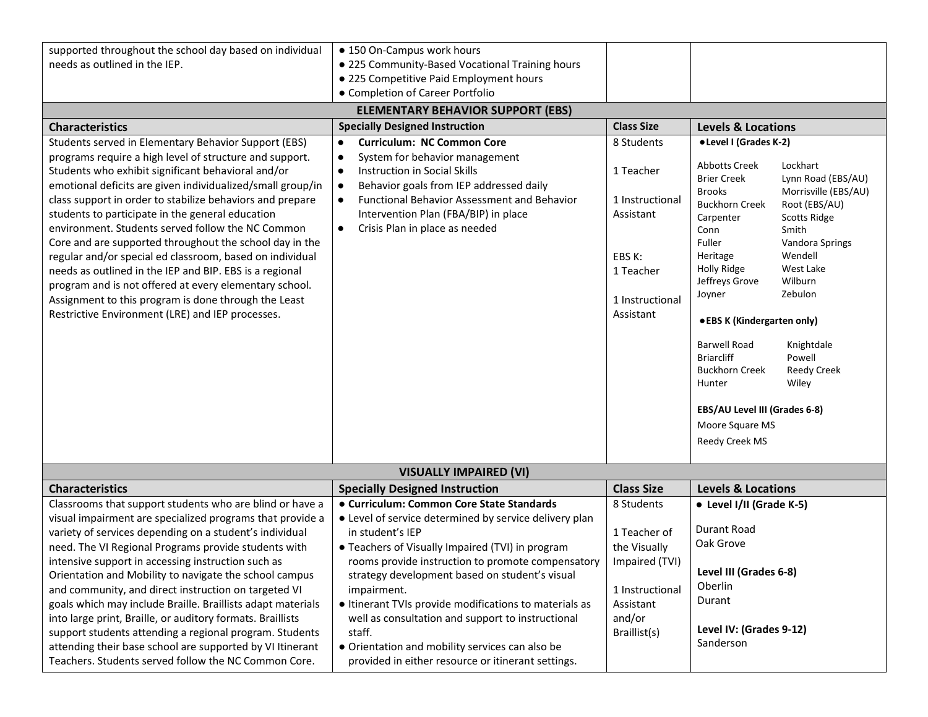| supported throughout the school day based on individual<br>needs as outlined in the IEP.                                                                                                                                                                                                                                                                                                                                                                                                                                                                                                                                                                                                                                                                          | • 150 On-Campus work hours<br>. 225 Community-Based Vocational Training hours<br>· 225 Competitive Paid Employment hours<br>• Completion of Career Portfolio                                                                                                                                                                                                                                                                                                                                                                        |                                                                                                                        |                                                                                                                                                                                                                                                                                                                                                                                                                                                                                                                                                                                                                             |  |
|-------------------------------------------------------------------------------------------------------------------------------------------------------------------------------------------------------------------------------------------------------------------------------------------------------------------------------------------------------------------------------------------------------------------------------------------------------------------------------------------------------------------------------------------------------------------------------------------------------------------------------------------------------------------------------------------------------------------------------------------------------------------|-------------------------------------------------------------------------------------------------------------------------------------------------------------------------------------------------------------------------------------------------------------------------------------------------------------------------------------------------------------------------------------------------------------------------------------------------------------------------------------------------------------------------------------|------------------------------------------------------------------------------------------------------------------------|-----------------------------------------------------------------------------------------------------------------------------------------------------------------------------------------------------------------------------------------------------------------------------------------------------------------------------------------------------------------------------------------------------------------------------------------------------------------------------------------------------------------------------------------------------------------------------------------------------------------------------|--|
|                                                                                                                                                                                                                                                                                                                                                                                                                                                                                                                                                                                                                                                                                                                                                                   | <b>ELEMENTARY BEHAVIOR SUPPORT (EBS)</b>                                                                                                                                                                                                                                                                                                                                                                                                                                                                                            |                                                                                                                        |                                                                                                                                                                                                                                                                                                                                                                                                                                                                                                                                                                                                                             |  |
| <b>Characteristics</b>                                                                                                                                                                                                                                                                                                                                                                                                                                                                                                                                                                                                                                                                                                                                            | <b>Specially Designed Instruction</b>                                                                                                                                                                                                                                                                                                                                                                                                                                                                                               | <b>Class Size</b>                                                                                                      | <b>Levels &amp; Locations</b>                                                                                                                                                                                                                                                                                                                                                                                                                                                                                                                                                                                               |  |
| Students served in Elementary Behavior Support (EBS)<br>programs require a high level of structure and support.<br>Students who exhibit significant behavioral and/or<br>emotional deficits are given individualized/small group/in<br>class support in order to stabilize behaviors and prepare<br>students to participate in the general education<br>environment. Students served follow the NC Common<br>Core and are supported throughout the school day in the<br>regular and/or special ed classroom, based on individual<br>needs as outlined in the IEP and BIP. EBS is a regional<br>program and is not offered at every elementary school.<br>Assignment to this program is done through the Least<br>Restrictive Environment (LRE) and IEP processes. | <b>Curriculum: NC Common Core</b><br>$\bullet$<br>System for behavior management<br>$\bullet$<br><b>Instruction in Social Skills</b><br>$\bullet$<br>Behavior goals from IEP addressed daily<br>$\bullet$<br>Functional Behavior Assessment and Behavior<br>$\bullet$<br>Intervention Plan (FBA/BIP) in place<br>Crisis Plan in place as needed<br>$\bullet$                                                                                                                                                                        | 8 Students<br>1 Teacher<br>1 Instructional<br>Assistant<br>EBS K:<br>1 Teacher<br>1 Instructional<br>Assistant         | • Level I (Grades K-2)<br><b>Abbotts Creek</b><br>Lockhart<br><b>Brier Creek</b><br>Lynn Road (EBS/AU)<br><b>Brooks</b><br>Morrisville (EBS/AU)<br><b>Buckhorn Creek</b><br>Root (EBS/AU)<br>Carpenter<br><b>Scotts Ridge</b><br>Conn<br>Smith<br>Fuller<br>Vandora Springs<br>Wendell<br>Heritage<br>Holly Ridge<br>West Lake<br>Jeffreys Grove<br>Wilburn<br>Joyner<br>Zebulon<br>● EBS K (Kindergarten only)<br><b>Barwell Road</b><br>Knightdale<br><b>Briarcliff</b><br>Powell<br><b>Buckhorn Creek</b><br><b>Reedy Creek</b><br>Wiley<br>Hunter<br>EBS/AU Level III (Grades 6-8)<br>Moore Square MS<br>Reedy Creek MS |  |
| <b>VISUALLY IMPAIRED (VI)</b>                                                                                                                                                                                                                                                                                                                                                                                                                                                                                                                                                                                                                                                                                                                                     |                                                                                                                                                                                                                                                                                                                                                                                                                                                                                                                                     |                                                                                                                        |                                                                                                                                                                                                                                                                                                                                                                                                                                                                                                                                                                                                                             |  |
| <b>Characteristics</b>                                                                                                                                                                                                                                                                                                                                                                                                                                                                                                                                                                                                                                                                                                                                            | <b>Specially Designed Instruction</b>                                                                                                                                                                                                                                                                                                                                                                                                                                                                                               | <b>Class Size</b>                                                                                                      | <b>Levels &amp; Locations</b>                                                                                                                                                                                                                                                                                                                                                                                                                                                                                                                                                                                               |  |
| Classrooms that support students who are blind or have a<br>visual impairment are specialized programs that provide a<br>variety of services depending on a student's individual<br>need. The VI Regional Programs provide students with<br>intensive support in accessing instruction such as<br>Orientation and Mobility to navigate the school campus<br>and community, and direct instruction on targeted VI<br>goals which may include Braille. Braillists adapt materials<br>into large print, Braille, or auditory formats. Braillists<br>support students attending a regional program. Students<br>attending their base school are supported by VI Itinerant<br>Teachers. Students served follow the NC Common Core.                                     | • Curriculum: Common Core State Standards<br>• Level of service determined by service delivery plan<br>in student's IEP<br>• Teachers of Visually Impaired (TVI) in program<br>rooms provide instruction to promote compensatory<br>strategy development based on student's visual<br>impairment.<br>• Itinerant TVIs provide modifications to materials as<br>well as consultation and support to instructional<br>staff.<br>• Orientation and mobility services can also be<br>provided in either resource or itinerant settings. | 8 Students<br>1 Teacher of<br>the Visually<br>Impaired (TVI)<br>1 Instructional<br>Assistant<br>and/or<br>Braillist(s) | • Level I/II (Grade K-5)<br><b>Durant Road</b><br>Oak Grove<br>Level III (Grades 6-8)<br>Oberlin<br>Durant<br>Level IV: (Grades 9-12)<br>Sanderson                                                                                                                                                                                                                                                                                                                                                                                                                                                                          |  |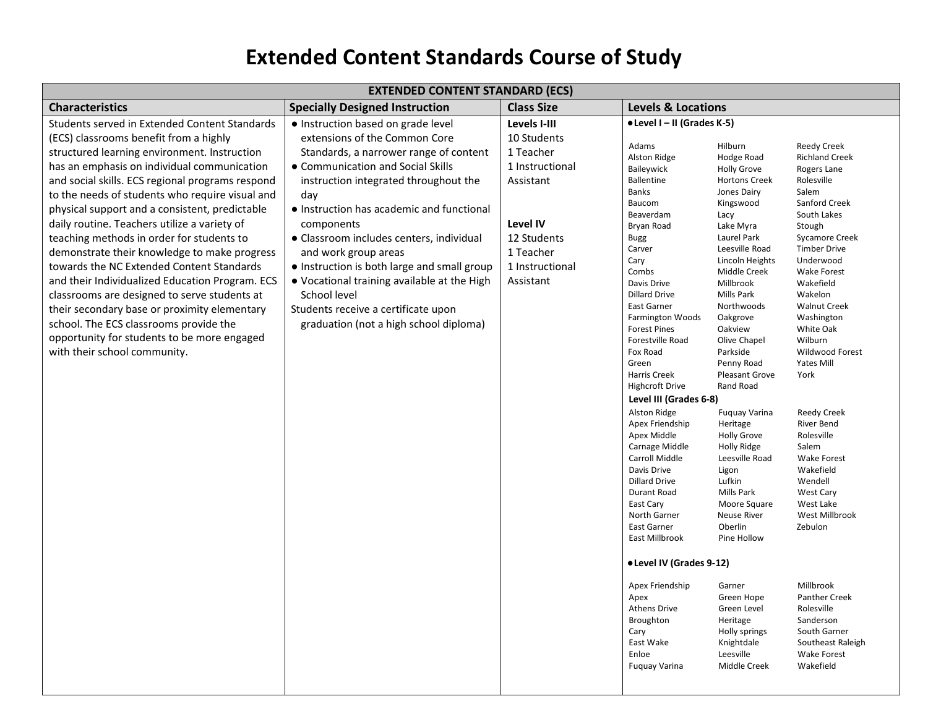## **Extended Content Standards Course of Study**

| <b>EXTENDED CONTENT STANDARD (ECS)</b>           |                                             |                   |                                         |                                     |                                         |  |
|--------------------------------------------------|---------------------------------------------|-------------------|-----------------------------------------|-------------------------------------|-----------------------------------------|--|
| <b>Characteristics</b>                           | <b>Specially Designed Instruction</b>       | <b>Class Size</b> |                                         | <b>Levels &amp; Locations</b>       |                                         |  |
| Students served in Extended Content Standards    | · Instruction based on grade level          | Levels I-III      | • Level I - II (Grades K-5)             |                                     |                                         |  |
| (ECS) classrooms benefit from a highly           | extensions of the Common Core               | 10 Students       | Adams                                   | Hilburn                             | <b>Reedy Creek</b>                      |  |
| structured learning environment. Instruction     | Standards, a narrower range of content      | 1 Teacher         | Alston Ridge                            | Hodge Road                          | <b>Richland Creek</b>                   |  |
| has an emphasis on individual communication      | • Communication and Social Skills           | 1 Instructional   | Baileywick                              | <b>Holly Grove</b>                  | Rogers Lane                             |  |
| and social skills. ECS regional programs respond | instruction integrated throughout the       | Assistant         | Ballentine<br><b>Banks</b>              | <b>Hortons Creek</b><br>Jones Dairy | Rolesville<br>Salem                     |  |
| to the needs of students who require visual and  | day                                         |                   | Baucom                                  | Kingswood                           | Sanford Creek                           |  |
| physical support and a consistent, predictable   | • Instruction has academic and functional   |                   | Beaverdam                               | Lacy                                | South Lakes                             |  |
| daily routine. Teachers utilize a variety of     | components                                  | Level IV          | Bryan Road                              | Lake Myra                           | Stough                                  |  |
| teaching methods in order for students to        | · Classroom includes centers, individual    | 12 Students       | <b>Bugg</b>                             | Laurel Park                         | <b>Sycamore Creek</b>                   |  |
| demonstrate their knowledge to make progress     | and work group areas                        | 1 Teacher         | Carver                                  | Leesville Road                      | <b>Timber Drive</b>                     |  |
| towards the NC Extended Content Standards        | • Instruction is both large and small group | 1 Instructional   | Cary<br>Combs                           | Lincoln Heights<br>Middle Creek     | Underwood<br><b>Wake Forest</b>         |  |
| and their Individualized Education Program. ECS  | • Vocational training available at the High | Assistant         | Davis Drive                             | Millbrook                           | Wakefield                               |  |
| classrooms are designed to serve students at     | School level                                |                   | <b>Dillard Drive</b>                    | Mills Park                          | Wakelon                                 |  |
| their secondary base or proximity elementary     | Students receive a certificate upon         |                   | East Garner                             | Northwoods                          | <b>Walnut Creek</b>                     |  |
| school. The ECS classrooms provide the           | graduation (not a high school diploma)      |                   | <b>Farmington Woods</b>                 | Oakgrove                            | Washington                              |  |
| opportunity for students to be more engaged      |                                             |                   | <b>Forest Pines</b><br>Forestville Road | Oakview<br>Olive Chapel             | White Oak<br>Wilburn                    |  |
| with their school community.                     |                                             |                   | Fox Road                                | Parkside                            | Wildwood Forest                         |  |
|                                                  |                                             |                   | Green                                   | Penny Road                          | <b>Yates Mill</b>                       |  |
|                                                  |                                             |                   | Harris Creek                            | <b>Pleasant Grove</b>               | York                                    |  |
|                                                  |                                             |                   | <b>Highcroft Drive</b>                  | Rand Road                           |                                         |  |
|                                                  |                                             |                   | Level III (Grades 6-8)                  |                                     |                                         |  |
|                                                  |                                             |                   | Alston Ridge<br>Apex Friendship         | <b>Fuquay Varina</b><br>Heritage    | <b>Reedy Creek</b><br><b>River Bend</b> |  |
|                                                  |                                             |                   | Apex Middle                             | <b>Holly Grove</b>                  | Rolesville                              |  |
|                                                  |                                             |                   | Carnage Middle                          | Holly Ridge                         | Salem                                   |  |
|                                                  |                                             |                   | Carroll Middle                          | Leesville Road                      | <b>Wake Forest</b>                      |  |
|                                                  |                                             |                   | Davis Drive                             | Ligon                               | Wakefield                               |  |
|                                                  |                                             |                   | <b>Dillard Drive</b>                    | Lufkin                              | Wendell                                 |  |
|                                                  |                                             |                   | Durant Road<br>East Cary                | Mills Park<br>Moore Square          | <b>West Cary</b><br>West Lake           |  |
|                                                  |                                             |                   | North Garner                            | <b>Neuse River</b>                  | West Millbrook                          |  |
|                                                  |                                             |                   | East Garner                             | Oberlin                             | Zebulon                                 |  |
|                                                  |                                             |                   | East Millbrook                          | Pine Hollow                         |                                         |  |
|                                                  |                                             |                   | • Level IV (Grades 9-12)                |                                     |                                         |  |
|                                                  |                                             |                   | Apex Friendship                         | Garner                              | Millbrook                               |  |
|                                                  |                                             |                   | Apex                                    | Green Hope                          | Panther Creek                           |  |
|                                                  |                                             |                   | Athens Drive                            | Green Level                         | Rolesville                              |  |
|                                                  |                                             |                   | Broughton<br>Cary                       | Heritage<br>Holly springs           | Sanderson<br>South Garner               |  |
|                                                  |                                             |                   | East Wake                               | Knightdale                          | Southeast Raleigh                       |  |
|                                                  |                                             |                   | Enloe                                   | Leesville                           | <b>Wake Forest</b>                      |  |
|                                                  |                                             |                   | <b>Fuquay Varina</b>                    | Middle Creek                        | Wakefield                               |  |
|                                                  |                                             |                   |                                         |                                     |                                         |  |
|                                                  |                                             |                   |                                         |                                     |                                         |  |